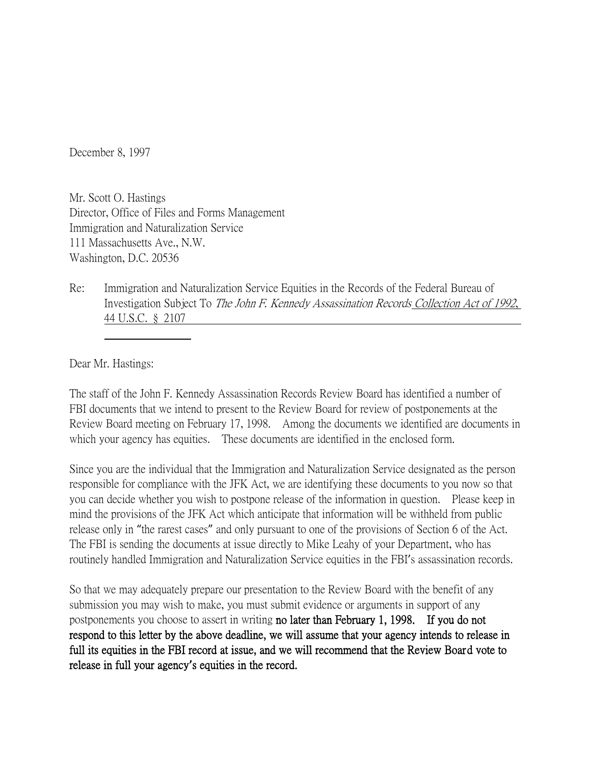December 8, 1997

Mr. Scott O. Hastings Director, Office of Files and Forms Management Immigration and Naturalization Service 111 Massachusetts Ave., N.W. Washington, D.C. 20536

Re: Immigration and Naturalization Service Equities in the Records of the Federal Bureau of Investigation Subject To The John F. Kennedy Assassination Records Collection Act of 1992, 44 U.S.C. § 2107

Dear Mr. Hastings:

The staff of the John F. Kennedy Assassination Records Review Board has identified a number of FBI documents that we intend to present to the Review Board for review of postponements at the Review Board meeting on February 17, 1998. Among the documents we identified are documents in which your agency has equities. These documents are identified in the enclosed form.

Since you are the individual that the Immigration and Naturalization Service designated as the person responsible for compliance with the JFK Act, we are identifying these documents to you now so that you can decide whether you wish to postpone release of the information in question. Please keep in mind the provisions of the JFK Act which anticipate that information will be withheld from public release only in "the rarest cases" and only pursuant to one of the provisions of Section 6 of the Act. The FBI is sending the documents at issue directly to Mike Leahy of your Department, who has routinely handled Immigration and Naturalization Service equities in the FBI's assassination records.

So that we may adequately prepare our presentation to the Review Board with the benefit of any submission you may wish to make, you must submit evidence or arguments in support of any postponements you choose to assert in writing no later than February 1, 1998. If you do not respond to this letter by the above deadline, we will assume that your agency intends to release in full its equities in the FBI record at issue, and we will recommend that the Review Board vote to release in full your agency**'**s equities in the record.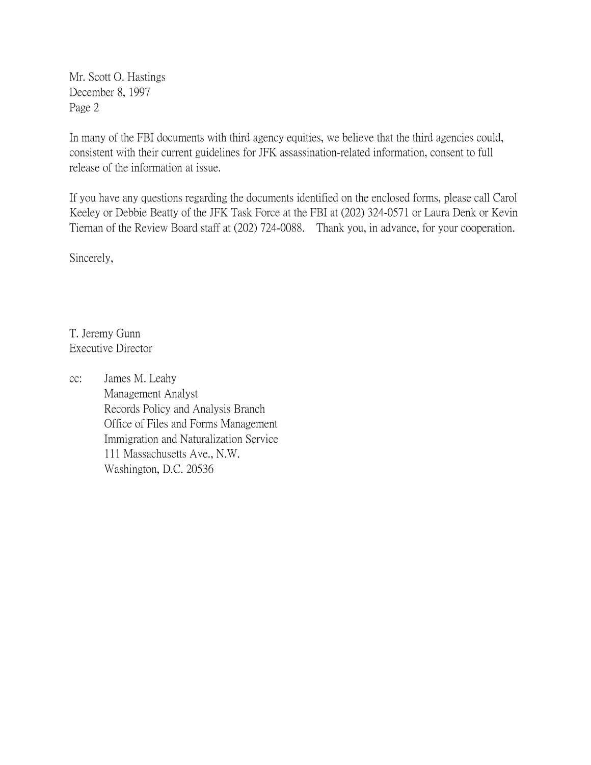Mr. Scott O. Hastings December 8, 1997 Page 2

In many of the FBI documents with third agency equities, we believe that the third agencies could, consistent with their current guidelines for JFK assassination-related information, consent to full release of the information at issue.

If you have any questions regarding the documents identified on the enclosed forms, please call Carol Keeley or Debbie Beatty of the JFK Task Force at the FBI at (202) 324-0571 or Laura Denk or Kevin Tiernan of the Review Board staff at (202) 724-0088. Thank you, in advance, for your cooperation.

Sincerely,

T. Jeremy Gunn Executive Director

cc: James M. Leahy Management Analyst Records Policy and Analysis Branch Office of Files and Forms Management Immigration and Naturalization Service 111 Massachusetts Ave., N.W. Washington, D.C. 20536